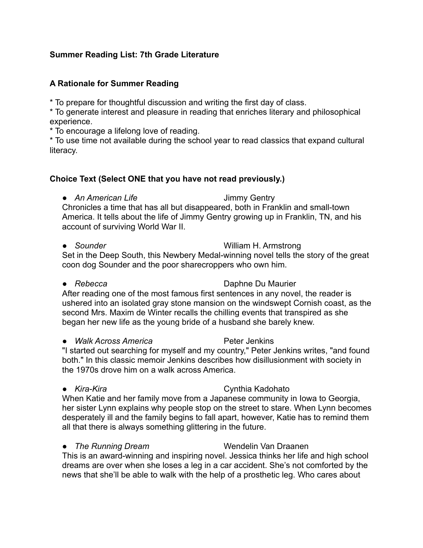### **Summer Reading List: 7th Grade Literature**

#### **A Rationale for Summer Reading**

\* To prepare for thoughtful discussion and writing the first day of class.

\* To generate interest and pleasure in reading that enriches literary and philosophical experience.

\* To encourage a lifelong love of reading.

\* To use time not available during the school year to read classics that expand cultural literacy.

### **Choice Text (Select ONE that you have not read previously.)**

• An American Life **Jimmy Gentry** 

Chronicles a time that has all but disappeared, both in Franklin and small-town America. It tells about the life of Jimmy Gentry growing up in Franklin, TN, and his account of surviving World War II.

# ● *Sounder* William H. Armstrong

Set in the Deep South, this Newbery Medal-winning novel tells the story of the great coon dog Sounder and the poor sharecroppers who own him.

# ● *Rebecca* Daphne Du Maurier

After reading one of the most famous first sentences in any novel, the reader is ushered into an isolated gray stone mansion on the windswept Cornish coast, as the second Mrs. Maxim de Winter recalls the chilling events that transpired as she began her new life as the young bride of a husband she barely knew.

● Walk Across America Peter Jenkins

"I started out searching for myself and my country," Peter Jenkins writes, "and found both." In this classic memoir Jenkins describes how disillusionment with society in the 1970s drove him on a walk across America.

# ● *Kira-Kira* Cynthia Kadohato

When Katie and her family move from a Japanese community in Iowa to Georgia, her sister Lynn explains why people stop on the street to stare. When Lynn becomes desperately ill and the family begins to fall apart, however, Katie has to remind them all that there is always something glittering in the future.

# ● *The Running Dream* Wendelin Van Draanen

This is an award-winning and inspiring novel. Jessica thinks her life and high school dreams are over when she loses a leg in a car accident. She's not comforted by the news that she'll be able to walk with the help of a prosthetic leg. Who cares about